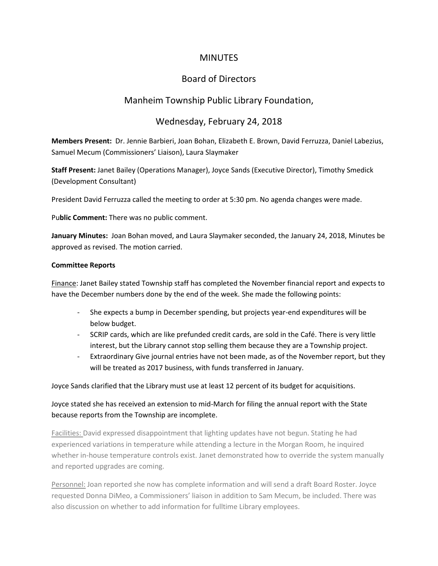## MINUTES

# Board of Directors

## Manheim Township Public Library Foundation,

### Wednesday, February 24, 2018

**Members Present:** Dr. Jennie Barbieri, Joan Bohan, Elizabeth E. Brown, David Ferruzza, Daniel Labezius, Samuel Mecum (Commissioners' Liaison), Laura Slaymaker

**Staff Present:** Janet Bailey (Operations Manager), Joyce Sands (Executive Director), Timothy Smedick (Development Consultant)

President David Ferruzza called the meeting to order at 5:30 pm. No agenda changes were made.

Pu**blic Comment:** There was no public comment.

**January Minutes:** Joan Bohan moved, and Laura Slaymaker seconded, the January 24, 2018, Minutes be approved as revised. The motion carried.

#### **Committee Reports**

Finance: Janet Bailey stated Township staff has completed the November financial report and expects to have the December numbers done by the end of the week. She made the following points:

- She expects a bump in December spending, but projects year-end expenditures will be below budget.
- SCRIP cards, which are like prefunded credit cards, are sold in the Café. There is very little interest, but the Library cannot stop selling them because they are a Township project.
- Extraordinary Give journal entries have not been made, as of the November report, but they will be treated as 2017 business, with funds transferred in January.

Joyce Sands clarified that the Library must use at least 12 percent of its budget for acquisitions.

### Joyce stated she has received an extension to mid-March for filing the annual report with the State because reports from the Township are incomplete.

Facilities: David expressed disappointment that lighting updates have not begun. Stating he had experienced variations in temperature while attending a lecture in the Morgan Room, he inquired whether in-house temperature controls exist. Janet demonstrated how to override the system manually and reported upgrades are coming.

Personnel: Joan reported she now has complete information and will send a draft Board Roster. Joyce requested Donna DiMeo, a Commissioners' liaison in addition to Sam Mecum, be included. There was also discussion on whether to add information for fulltime Library employees.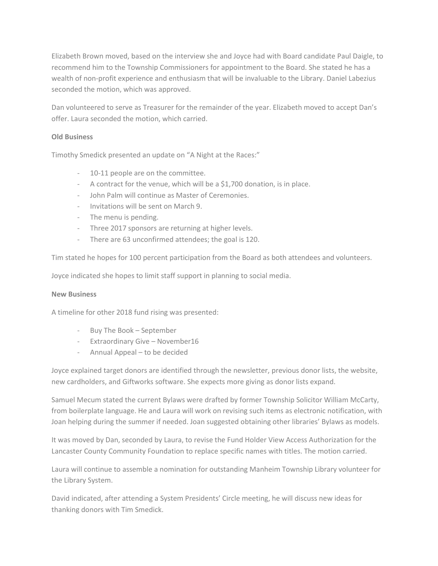Elizabeth Brown moved, based on the interview she and Joyce had with Board candidate Paul Daigle, to recommend him to the Township Commissioners for appointment to the Board. She stated he has a wealth of non-profit experience and enthusiasm that will be invaluable to the Library. Daniel Labezius seconded the motion, which was approved.

Dan volunteered to serve as Treasurer for the remainder of the year. Elizabeth moved to accept Dan's offer. Laura seconded the motion, which carried.

### **Old Business**

Timothy Smedick presented an update on "A Night at the Races:"

- 10-11 people are on the committee.
- A contract for the venue, which will be a \$1,700 donation, is in place.
- John Palm will continue as Master of Ceremonies.
- Invitations will be sent on March 9.
- The menu is pending.
- Three 2017 sponsors are returning at higher levels.
- There are 63 unconfirmed attendees; the goal is 120.

Tim stated he hopes for 100 percent participation from the Board as both attendees and volunteers.

Joyce indicated she hopes to limit staff support in planning to social media.

#### **New Business**

A timeline for other 2018 fund rising was presented:

- Buy The Book September
- Extraordinary Give November16
- Annual Appeal to be decided

Joyce explained target donors are identified through the newsletter, previous donor lists, the website, new cardholders, and Giftworks software. She expects more giving as donor lists expand.

Samuel Mecum stated the current Bylaws were drafted by former Township Solicitor William McCarty, from boilerplate language. He and Laura will work on revising such items as electronic notification, with Joan helping during the summer if needed. Joan suggested obtaining other libraries' Bylaws as models.

It was moved by Dan, seconded by Laura, to revise the Fund Holder View Access Authorization for the Lancaster County Community Foundation to replace specific names with titles. The motion carried.

Laura will continue to assemble a nomination for outstanding Manheim Township Library volunteer for the Library System.

David indicated, after attending a System Presidents' Circle meeting, he will discuss new ideas for thanking donors with Tim Smedick.